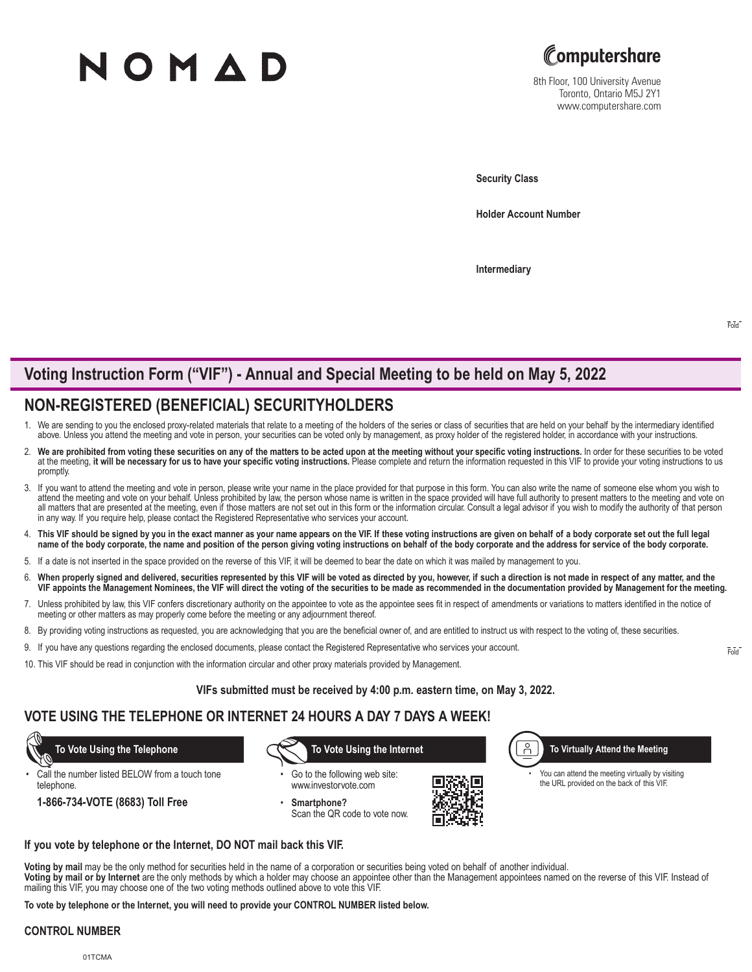# NOMAD



8th Floor, 100 University Avenue Toronto, Ontario M5J 2Y1 www.computershare.com

**Security Class**

**Holder Account Number** 

**Intermediary**

## **Voting Instruction Form ("VIF") - Annual and Special Meeting to be held on May 5, 2022**

## **NON-REGISTERED (BENEFICIAL) SECURITYHOLDERS**

- 1. We are sending to you the enclosed proxy-related materials that relate to a meeting of the holders of the series or class of securities that are held on your behalf by the intermediary identified above. Unless you attend the meeting and vote in person, your securities can be voted only by management, as proxy holder of the registered holder, in accordance with your instructions.
- We are prohibited from voting these securities on any of the matters to be acted upon at the meeting without your specific voting instructions. In order for these securities to be voted at the meeting, it will be necessary for us to have your specific voting instructions. Please complete and return the information requested in this VIF to provide your voting instructions to us promptly.
- 3. If you want to attend the meeting and vote in person, please write your name in the place provided for that purpose in this form. You can also write the name of someone else whom you wish to attend the meeting and vote on your behalf. Unless prohibited by law, the person whose name is written in the space provided will have full authority to present matters to the meeting and vote on all matters that are presented at the meeting, even if those matters are not set out in this form or the information circular. Consult a legal advisor if you wish to modify the authority of that person in any way. If you require help, please contact the Registered Representative who services your account.
- 4. **This VIF should be signed by you in the exact manner as your name appears on the VIF. If these voting instructions are given on behalf of a body corporate set out the full legal name of the body corporate, the name and position of the person giving voting instructions on behalf of the body corporate and the address for service of the body corporate.**
- 5. If a date is not inserted in the space provided on the reverse of this VIF, it will be deemed to bear the date on which it was mailed by management to you.
- 6. **When properly signed and delivered, securities represented by this VIF will be voted as directed by you, however, if such a direction is not made in respect of any matter, and the VIF appoints the Management Nominees, the VIF will direct the voting of the securities to be made as recommended in the documentation provided by Management for the meeting.**
- 7. Unless prohibited by law, this VIF confers discretionary authority on the appointee to vote as the appointee sees fit in respect of amendments or variations to matters identified in the notice of meeting or other matters as may properly come before the meeting or any adjournment thereof.
- 8. By providing voting instructions as requested, you are acknowledging that you are the beneficial owner of, and are entitled to instruct us with respect to the voting of, these securities.
- 9. If you have any questions regarding the enclosed documents, please contact the Registered Representative who services your account.
- 10. This VIF should be read in conjunction with the information circular and other proxy materials provided by Management.

**VIFs submitted must be received by 4:00 p.m. eastern time, on May 3, 2022.**

### **VOTE USING THE TELEPHONE OR INTERNET 24 HOURS A DAY 7 DAYS A WEEK!**

Call the number listed BELOW from a touch tone telephone.

**1-866-734-VOTE (8683) Toll Free**

 **To Vote Using the Telephone To Vote Using the Internet**

Go to the following web site: www.investorvote.com

• **Smartphone?** Scan the QR code to vote now.



Å **To Virtually Attend the Meeting**

You can attend the meeting virtually by visiting the URL provided on the back of this VIF.

**If you vote by telephone or the Internet, DO NOT mail back this VIF.**

**Voting by mail** may be the only method for securities held in the name of a corporation or securities being voted on behalf of another individual.

**Voting by mail or by Internet** are the only methods by which a holder may choose an appointee other than the Management appointees named on the reverse of this VIF. Instead of mailing this VIF, you may choose one of the two voting methods outlined above to vote this VIF.

**To vote by telephone or the Internet, you will need to provide your CONTROL NUMBER listed below.**

#### **CONTROL NUMBER**

Fold